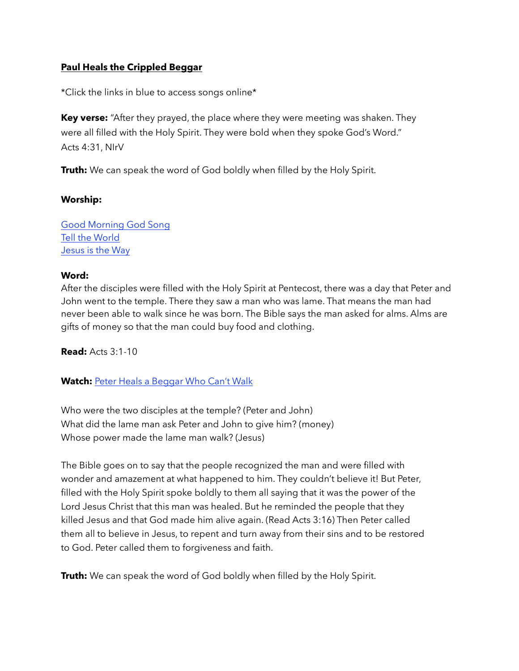## **Paul Heals the Crippled Beggar**

\*Click the links in blue to access songs online\*

**Key verse:** "After they prayed, the place where they were meeting was shaken. They were all filled with the Holy Spirit. They were bold when they spoke God's Word." Acts 4:31, NIrV

**Truth:** We can speak the word of God boldly when filled by the Holy Spirit.

#### **Worship:**

[Good Morning God Song](https://www.youtube.com/watch?v=66uQkCYwAmU) [Tell the World](https://www.youtube.com/watch?v=0UQ7yn2WAFo) [Jesus is the Way](https://www.youtube.com/watch?v=n32VS7HCB74)

### **Word:**

After the disciples were filled with the Holy Spirit at Pentecost, there was a day that Peter and John went to the temple. There they saw a man who was lame. That means the man had never been able to walk since he was born. The Bible says the man asked for alms. Alms are gifts of money so that the man could buy food and clothing.

**Read:** Acts 3:1-10

**Watch:** [Peter Heals a Beggar Who Can't Walk](https://www.youtube.com/watch?v=orp4ZT9710Y)

Who were the two disciples at the temple? (Peter and John) What did the lame man ask Peter and John to give him? (money) Whose power made the lame man walk? (Jesus)

The Bible goes on to say that the people recognized the man and were filled with wonder and amazement at what happened to him. They couldn't believe it! But Peter, filled with the Holy Spirit spoke boldly to them all saying that it was the power of the Lord Jesus Christ that this man was healed. But he reminded the people that they killed Jesus and that God made him alive again. (Read Acts 3:16) Then Peter called them all to believe in Jesus, to repent and turn away from their sins and to be restored to God. Peter called them to forgiveness and faith.

**Truth:** We can speak the word of God boldly when filled by the Holy Spirit.